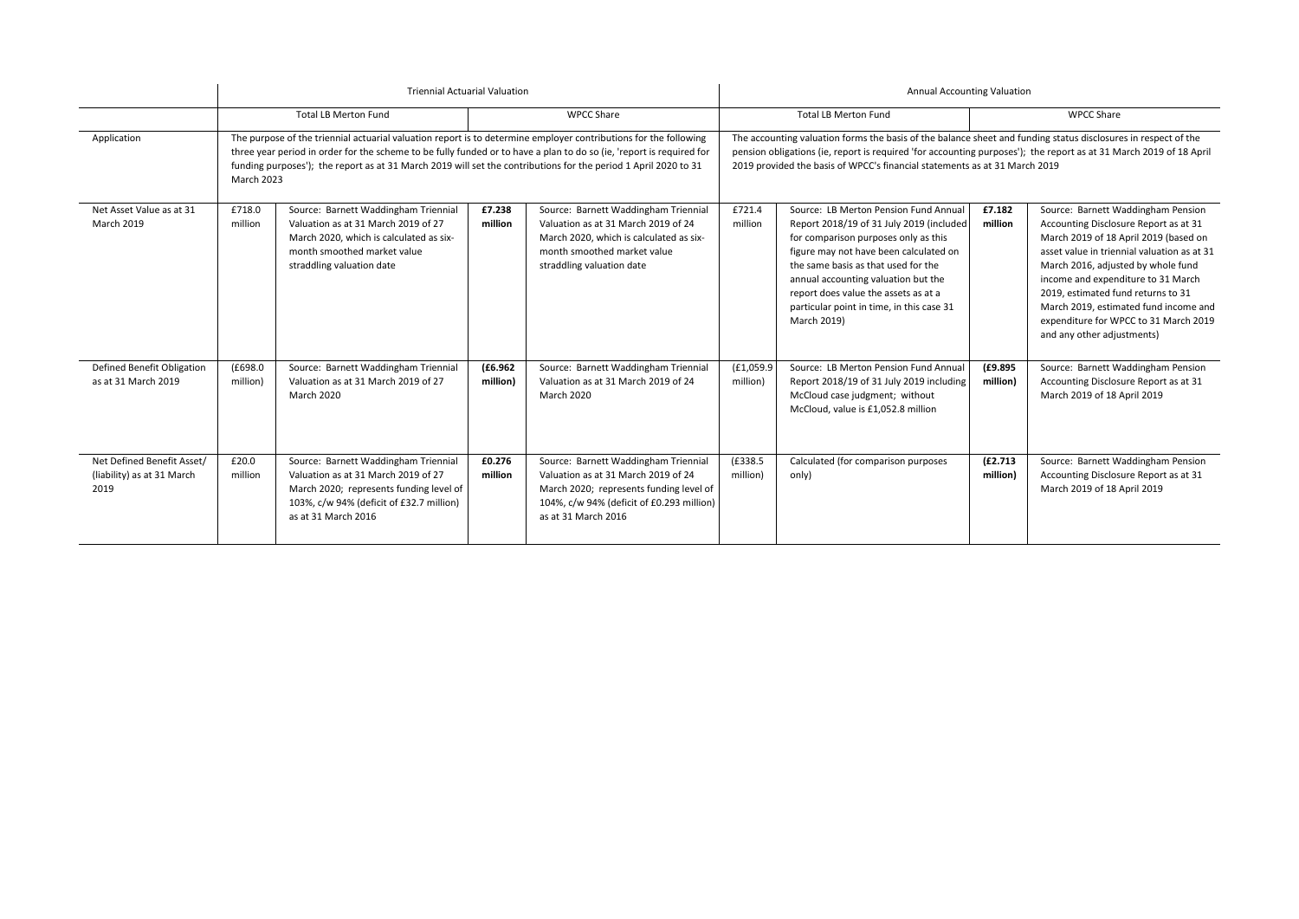|                                                                  | <b>Triennial Actuarial Valuation</b>                                                                                                                                                                                                                                                                                                                                             |                                                                                                                                                                                           |                      |                                                                                                                                                                                            | <b>Annual Accounting Valuation</b> |                                                                                                                                                                                                                                                                                                                                                       |                      |                                                                                                                                                                                                                                                                                                                                                                                                       |  |
|------------------------------------------------------------------|----------------------------------------------------------------------------------------------------------------------------------------------------------------------------------------------------------------------------------------------------------------------------------------------------------------------------------------------------------------------------------|-------------------------------------------------------------------------------------------------------------------------------------------------------------------------------------------|----------------------|--------------------------------------------------------------------------------------------------------------------------------------------------------------------------------------------|------------------------------------|-------------------------------------------------------------------------------------------------------------------------------------------------------------------------------------------------------------------------------------------------------------------------------------------------------------------------------------------------------|----------------------|-------------------------------------------------------------------------------------------------------------------------------------------------------------------------------------------------------------------------------------------------------------------------------------------------------------------------------------------------------------------------------------------------------|--|
|                                                                  |                                                                                                                                                                                                                                                                                                                                                                                  | <b>Total LB Merton Fund</b>                                                                                                                                                               |                      | <b>WPCC Share</b>                                                                                                                                                                          |                                    | <b>Total LB Merton Fund</b>                                                                                                                                                                                                                                                                                                                           |                      | <b>WPCC Share</b>                                                                                                                                                                                                                                                                                                                                                                                     |  |
| Application                                                      | The purpose of the triennial actuarial valuation report is to determine employer contributions for the following<br>three year period in order for the scheme to be fully funded or to have a plan to do so (ie, 'report is required for<br>funding purposes'); the report as at 31 March 2019 will set the contributions for the period 1 April 2020 to 31<br><b>March 2023</b> |                                                                                                                                                                                           |                      |                                                                                                                                                                                            |                                    | The accounting valuation forms the basis of the balance sheet and funding status disclosures in respect of the<br>pension obligations (ie, report is required 'for accounting purposes'); the report as at 31 March 2019 of 18 April<br>2019 provided the basis of WPCC's financial statements as at 31 March 2019                                    |                      |                                                                                                                                                                                                                                                                                                                                                                                                       |  |
| Net Asset Value as at 31<br><b>March 2019</b>                    | £718.0<br>million                                                                                                                                                                                                                                                                                                                                                                | Source: Barnett Waddingham Triennial<br>Valuation as at 31 March 2019 of 27<br>March 2020, which is calculated as six-<br>month smoothed market value<br>straddling valuation date        | £7.238<br>million    | Source: Barnett Waddingham Triennial<br>Valuation as at 31 March 2019 of 24<br>March 2020, which is calculated as six-<br>month smoothed market value<br>straddling valuation date         | £721.4<br>million                  | Source: LB Merton Pension Fund Annual<br>Report 2018/19 of 31 July 2019 (included<br>for comparison purposes only as this<br>figure may not have been calculated on<br>the same basis as that used for the<br>annual accounting valuation but the<br>report does value the assets as at a<br>particular point in time, in this case 31<br>March 2019) | £7.182<br>million    | Source: Barnett Waddingham Pension<br>Accounting Disclosure Report as at 31<br>March 2019 of 18 April 2019 (based on<br>asset value in triennial valuation as at 31<br>March 2016, adjusted by whole fund<br>income and expenditure to 31 March<br>2019. estimated fund returns to 31<br>March 2019, estimated fund income and<br>expenditure for WPCC to 31 March 2019<br>and any other adjustments) |  |
| Defined Benefit Obligation<br>as at 31 March 2019                | (E698.0)<br>million)                                                                                                                                                                                                                                                                                                                                                             | Source: Barnett Waddingham Triennial<br>Valuation as at 31 March 2019 of 27<br><b>March 2020</b>                                                                                          | (E6.962)<br>million) | Source: Barnett Waddingham Triennial<br>Valuation as at 31 March 2019 of 24<br><b>March 2020</b>                                                                                           | (E1,059.9)<br>million)             | Source: LB Merton Pension Fund Annual<br>Report 2018/19 of 31 July 2019 including<br>McCloud case judgment; without<br>McCloud, value is £1,052.8 million                                                                                                                                                                                             | (£9.895)<br>million) | Source: Barnett Waddingham Pension<br>Accounting Disclosure Report as at 31<br>March 2019 of 18 April 2019                                                                                                                                                                                                                                                                                            |  |
| Net Defined Benefit Asset/<br>(liability) as at 31 March<br>2019 | £20.0<br>million                                                                                                                                                                                                                                                                                                                                                                 | Source: Barnett Waddingham Triennial<br>Valuation as at 31 March 2019 of 27<br>March 2020; represents funding level of<br>103%, c/w 94% (deficit of £32.7 million)<br>as at 31 March 2016 | £0.276<br>million    | Source: Barnett Waddingham Triennial<br>Valuation as at 31 March 2019 of 24<br>March 2020; represents funding level of<br>104%, c/w 94% (deficit of £0.293 million)<br>as at 31 March 2016 | (£338.5<br>million)                | Calculated (for comparison purposes<br>only)                                                                                                                                                                                                                                                                                                          | (E2.713)<br>million) | Source: Barnett Waddingham Pension<br>Accounting Disclosure Report as at 31<br>March 2019 of 18 April 2019                                                                                                                                                                                                                                                                                            |  |